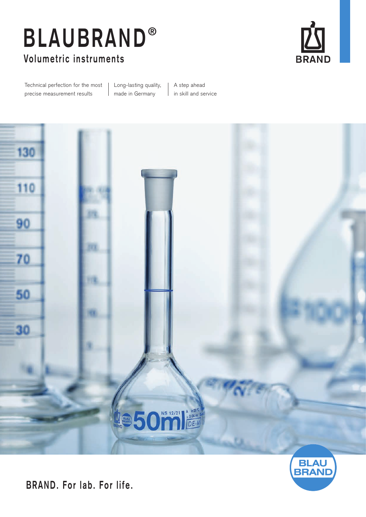# **Volumetric instruments BLAUBRAND ®**



Technical perfection for the most precise measurement results

Long-lasting quality, made in Germany

A step ahead in skill and service





**BRAND. For lab. For life.**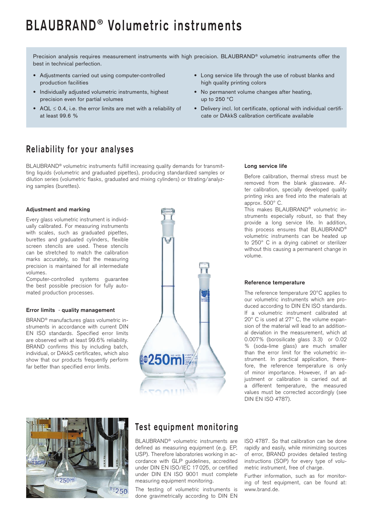## **BLAUBRAND ® Volumetric instruments**

Precision analysis requires measurement instruments with high precision. BLAUBRAND® volumetric instruments offer the best in technical perfection.

- Adjustments carried out using computer-controlled production facilities
- Individually adjusted volumetric instruments, highest precision even for partial volumes
- AQL ≤ 0.4, i.e. the error limits are met with a reliability of at least 99.6 %
- Long service life through the use of robust blanks and high quality printing colors
- No permanent volume changes after heating, up to 250 °C
- Delivery incl. lot certificate, optional with individual certificate or DAkkS calibration certificate available

### **Reliability for your analyses**

BLAUBRAND® volumetric instruments fulfill increasing quality demands for transmitting liquids (volumetric and graduated pipettes), producing standardized samples or dilution series (volumetric flasks, graduated and mixing cylinders) or titrating/analyzing samples (burettes).

### **Adjustment and marking**

Every glass volumetric instrument is individually calibrated. For measuring instruments with scales, such as graduated pipettes, burettes and graduated cylinders, flexible screen stencils are used. These stencils can be stretched to match the calibration marks accurately, so that the measuring precision is maintained for all intermediate volumes.

Computer-controlled systems guarantee the best possible precision for fully automated production processes.

#### **Error limits · quality management**

BRAND® manufactures glass volumetric instruments in accordance with current DIN EN ISO standards. Specified error limits are observed with at least 99.6% reliability. BRAND confirms this by including batch, individual, or DAkkS certificates, which also show that our products frequently perform far better than specified error limits.



#### **Long service life**

Before calibration, thermal stress must be removed from the blank glassware. After calibration, specially developed quality printing inks are fired into the materials at approx. 500° C.

This makes BLAUBRAND® volumetric instruments especially robust, so that they provide a long service life. In addition, this process ensures that BLAUBRAND® volumetric instruments can be heated up to 250° C in a drying cabinet or sterilizer without this causing a permanent change in volume.

#### **Reference temperature**

The reference temperature 20°C applies to our volumetric instruments which are produced according to DIN EN ISO standards. If a volumetric instrument calibrated at 20° C is used at 27° C, the volume expansion of the material will lead to an additional deviation in the measurement, which at 0.007% (borosilicate glass 3.3) or 0.02 % (soda-lime glass) are much smaller than the error limit for the volumetric instrument. In practical application, therefore, the reference temperature is only of minor importance. However, if an adjustment or calibration is carried out at a different temperature, the measured values must be corrected accordingly (see DIN EN ISO 4787).



### **Test equipment monitoring**

BLAUBRAND® volumetric instruments are defined as measuring equipment (e.g. EP, USP). Therefore laboratories working in accordance with GLP guidelines, accredited under DIN EN ISO/IEC 17 025, or certified under DIN EN ISO 9001 must complete measuring equipment monitoring.

The testing of volumetric instruments is done gravimetrically according to DIN EN ISO 4787. So that calibration can be done rapidly and easily, while minimizing sources of error, BRAND provides detailed testing instructions (SOP) for every type of volumetric instrument, free of charge.

Further information, such as for monitoring of test equipment, can be found at: www.brand.de.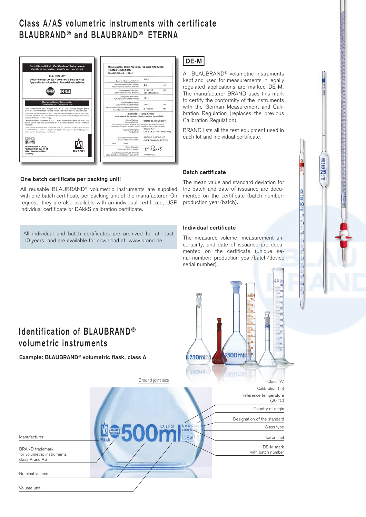### **Class A/AS volumetric instruments with certificate BLAUBRAND ® and BLAUBRAND ® ETERNA**

| Qualitätszertifikat - Certificate of Performance<br>Certificat de qualité - Certificado de calidad<br><b>BLAURRAND®</b>                                                                                                  | Messpipette, Grad.Pipettes, Pipettes Graduees,<br><b>Pipetas Graduadas</b><br>BLAUBRAND, AS. : 0,02ml                   |                                                      |
|--------------------------------------------------------------------------------------------------------------------------------------------------------------------------------------------------------------------------|-------------------------------------------------------------------------------------------------------------------------|------------------------------------------------------|
| Volumenmessgeräte · Volumetric Instruments<br>Appareils de volumétrie · Materiel volumétrico                                                                                                                             | Best. Nr./Cat. No./Rét./Ref.:                                                                                           | 27709                                                |
|                                                                                                                                                                                                                          | Nannyoluman/Nominal volume:<br><b>Welcome recentral/Welcomen reservingly</b>                                            | 2.0<br>ml                                            |
| DE-M<br>RAN                                                                                                                                                                                                              | Fehlengrenze/Error limit:<br>Limite of emacrofizingly de error:                                                         | ± 0.0100<br>mi<br><b>DIN EN ISO 835</b>              |
|                                                                                                                                                                                                                          | Chargen-Nr./Batch No.:<br>Numéro du lot/Número del lote:                                                                | 15.01                                                |
| Chargenprüfung - Batch control<br>Contrôle du lot - Control del lote                                                                                                                                                     | Mittelson (Misson value)<br>Valeur moyenne/Valor medio:                                                                 | 2.0011<br>mi                                         |
| Diese Endprüfwerte sind bezogen auf 20 °C. Die Prüfung erfolgte gemäß<br>ISO 4787. Die verwendelse Normale sind an die Normale der PTB angeschipssen.                                                                    | Standardabweichung/Standard deviation:<br>Ecort type/Desvisción standard:                                               | $+ 0.0020$<br>ml                                     |
| These final test values refer to 20 °C. The test was effected according to ISO 4787.<br>The used standards are connected with the standards of the PTB (German Federal<br>Institute of Physics and Metrology).           | Instruments de contrôle - Instrumentos de medición                                                                      | Prüfmittel - Testing devices                         |
| Ces valeurs finales se référent à 20 °C. Le test a été effectué selon ISO 4787. Les<br>étalons utilisés sont liés aux étalons du PTB (Institut Fédéral Physico-Technique<br>Alemandi.                                    | Waace/Balance:<br>Balance/Balanza:<br>De Kalisenang erfalgt alle 3 Monate./The calification is effected every 3 months. | 300400-25, 220q/0.00001                              |
| Estos valores de control final se refleren a 20 °C. El control se efectuó de acuerdo<br>con ISO 4787. Los patrones utilizados son ligados a los patrones del PTB (Organismo<br>oficial alemán de calibrado y standards). | Le calibiage est effectué tous les 3 mois./El calibrado se efectua cada tres mepes.<br>Gewichte/Weights:<br>Poids/Pass: | 800033-1, F1<br>(2015, DKD11801, Nr.G2-349)          |
| 9001-14001<br><b>CERTIFIED</b>                                                                                                                                                                                           | Thermometer/Thermometer:<br>Thermorektra/Termórsetro:<br>238048<br>RISMAN                                               | 351000-3, 0-30°C/0.1°C<br>(2024, EA Werth., Nr.3119) |
| BRAND GMBH + CO KG<br>Postfach/P.O. Box 1155                                                                                                                                                                             | Prüfer/Operator:<br>Vérificateur/Comprobador:                                                                           | V. Pers                                              |
| <b>BRAND</b><br>97861 Werthelm/Main<br>Germany                                                                                                                                                                           | Ausstellungsdatum/Date of issue:<br>Date de délivrance/Fecha de exposición:                                             | 11-Mrz-2015                                          |

### **One batch certificate per packing unit!**

All reusable BLAUBRAND® volumetric instruments are supplied with one batch certificate per packing unit of the manufacturer. On request, they are also available with an individual certificate, USP individual certificate or DAkkS calibration certificate.

All individual and batch certificates are archived for at least 10 years, and are available for download at: www.brand.de.

### DE-M

All BLAUBRAND® volumetric instruments kept and used for measurements in legally regulated applications are marked DE-M. The manufacturer BRAND uses this mark to certify the conformity of the instruments with the German Measurement and Calibration Regulation (replaces the previous Calibration Regulation).

BRAND lists all the test equipment used in each lot and individual certificate.

### **Batch certificate**

The mean value and standard deviation for the batch and date of issuance are documented on the certificate (batch number: production year/batch).

n

### **Individual certificate**

The measured volume, measurement uncertainty, and date of issuance are documented on the certificate (unique serial number: production year/batch/device serial number).